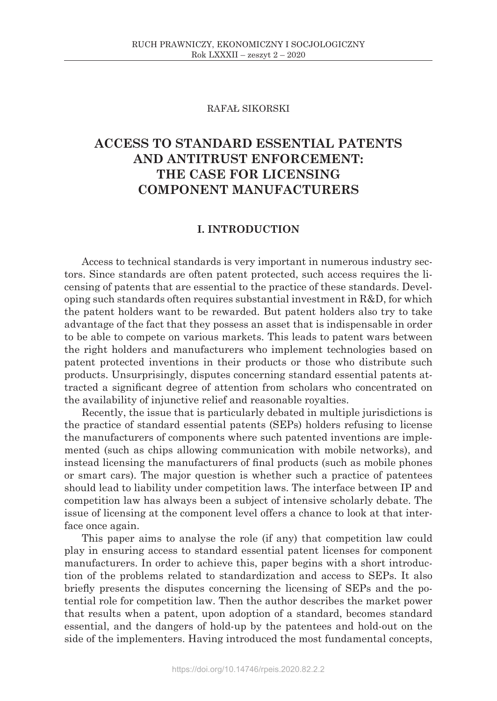### RAFAŁ SIKORSKI

# **ACCESS TO STANDARD ESSENTIAL PATENTS AND ANTITRUST ENFORCEMENT: THE CASE FOR LICENSING COMPONENT MANUFACTURERS**

### **I. INTRODUCTION**

Access to technical standards is very important in numerous industry sectors. Since standards are often patent protected, such access requires the licensing of patents that are essential to the practice of these standards. Developing such standards often requires substantial investment in R&D, for which the patent holders want to be rewarded. But patent holders also try to take advantage of the fact that they possess an asset that is indispensable in order to be able to compete on various markets. This leads to patent wars between the right holders and manufacturers who implement technologies based on patent protected inventions in their products or those who distribute such products. Unsurprisingly, disputes concerning standard essential patents attracted a significant degree of attention from scholars who concentrated on the availability of injunctive relief and reasonable royalties.

Recently, the issue that is particularly debated in multiple jurisdictions is the practice of standard essential patents (SEPs) holders refusing to license the manufacturers of components where such patented inventions are implemented (such as chips allowing communication with mobile networks), and instead licensing the manufacturers of final products (such as mobile phones or smart cars). The major question is whether such a practice of patentees should lead to liability under competition laws. The interface between IP and competition law has always been a subject of intensive scholarly debate. The issue of licensing at the component level offers a chance to look at that interface once again.

This paper aims to analyse the role (if any) that competition law could play in ensuring access to standard essential patent licenses for component manufacturers. In order to achieve this, paper begins with a short introduction of the problems related to standardization and access to SEPs. It also briefly presents the disputes concerning the licensing of SEPs and the potential role for competition law. Then the author describes the market power that results when a patent, upon adoption of a standard, becomes standard essential, and the dangers of hold-up by the patentees and hold-out on the side of the implementers. Having introduced the most fundamental concepts,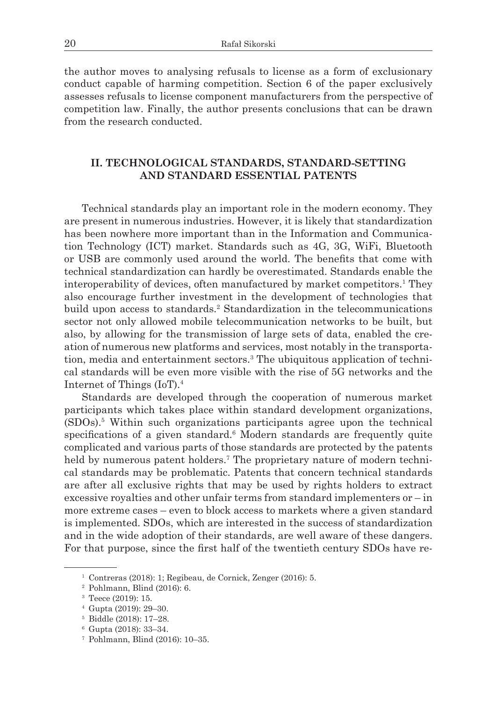the author moves to analysing refusals to license as a form of exclusionary conduct capable of harming competition. Section 6 of the paper exclusively assesses refusals to license component manufacturers from the perspective of competition law. Finally, the author presents conclusions that can be drawn from the research conducted.

### **II. TECHNOLOGICAL STANDARDS, STANDARD-SETTING AND STANDARD ESSENTIAL PATENTS**

Technical standards play an important role in the modern economy. They are present in numerous industries. However, it is likely that standardization has been nowhere more important than in the Information and Communication Technology (ICT) market. Standards such as 4G, 3G, WiFi, Bluetooth or USB are commonly used around the world. The benefits that come with technical standardization can hardly be overestimated. Standards enable the interoperability of devices, often manufactured by market competitors.<sup>1</sup> They also encourage further investment in the development of technologies that build upon access to standards.<sup>2</sup> Standardization in the telecommunications sector not only allowed mobile telecommunication networks to be built, but also, by allowing for the transmission of large sets of data, enabled the creation of numerous new platforms and services, most notably in the transportation, media and entertainment sectors.3 The ubiquitous application of technical standards will be even more visible with the rise of 5G networks and the Internet of Things (IoT).4

Standards are developed through the cooperation of numerous market participants which takes place within standard development organizations, (SDOs).5 Within such organizations participants agree upon the technical specifications of a given standard.<sup>6</sup> Modern standards are frequently quite complicated and various parts of those standards are protected by the patents held by numerous patent holders.<sup>7</sup> The proprietary nature of modern technical standards may be problematic. Patents that concern technical standards are after all exclusive rights that may be used by rights holders to extract excessive royalties and other unfair terms from standard implementers or – in more extreme cases – even to block access to markets where a given standard is implemented. SDOs, which are interested in the success of standardization and in the wide adoption of their standards, are well aware of these dangers. For that purpose, since the first half of the twentieth century SDOs have re-

 $1$  Contreras (2018): 1; Regibeau, de Cornick, Zenger (2016): 5.

<sup>2</sup> Pohlmann, Blind (2016): 6.

<sup>3</sup> Teece (2019): 15.

<sup>4</sup> Gupta (2019): 29–30.

<sup>5</sup> Biddle (2018): 17–28.

<sup>6</sup> Gupta (2018): 33–34.

<sup>7</sup> Pohlmann, Blind (2016): 10–35.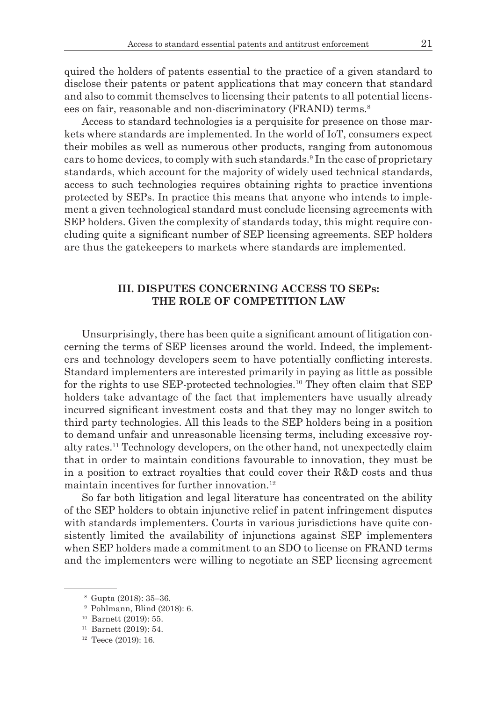quired the holders of patents essential to the practice of a given standard to disclose their patents or patent applications that may concern that standard and also to commit themselves to licensing their patents to all potential licensees on fair, reasonable and non-discriminatory (FRAND) terms.<sup>8</sup>

Access to standard technologies is a perquisite for presence on those markets where standards are implemented. In the world of IoT, consumers expect their mobiles as well as numerous other products, ranging from autonomous cars to home devices, to comply with such standards.9 In the case of proprietary standards, which account for the majority of widely used technical standards, access to such technologies requires obtaining rights to practice inventions protected by SEPs. In practice this means that anyone who intends to implement a given technological standard must conclude licensing agreements with SEP holders. Given the complexity of standards today, this might require concluding quite a significant number of SEP licensing agreements. SEP holders are thus the gatekeepers to markets where standards are implemented.

### **III. DISPUTES CONCERNING ACCESS TO SEPs: THE ROLE OF COMPETITION LAW**

Unsurprisingly, there has been quite a significant amount of litigation concerning the terms of SEP licenses around the world. Indeed, the implementers and technology developers seem to have potentially conflicting interests. Standard implementers are interested primarily in paying as little as possible for the rights to use SEP-protected technologies.<sup>10</sup> They often claim that SEP holders take advantage of the fact that implementers have usually already incurred significant investment costs and that they may no longer switch to third party technologies. All this leads to the SEP holders being in a position to demand unfair and unreasonable licensing terms, including excessive royalty rates.<sup>11</sup> Technology developers, on the other hand, not unexpectedly claim that in order to maintain conditions favourable to innovation, they must be in a position to extract royalties that could cover their R&D costs and thus maintain incentives for further innovation.<sup>12</sup>

So far both litigation and legal literature has concentrated on the ability of the SEP holders to obtain injunctive relief in patent infringement disputes with standards implementers. Courts in various jurisdictions have quite consistently limited the availability of injunctions against SEP implementers when SEP holders made a commitment to an SDO to license on FRAND terms and the implementers were willing to negotiate an SEP licensing agreement

<sup>8</sup> Gupta (2018): 35–36.

<sup>9</sup> Pohlmann, Blind (2018): 6.

<sup>10</sup> Barnett (2019): 55.

<sup>11</sup> Barnett (2019): 54.

 $12$  Teece (2019): 16.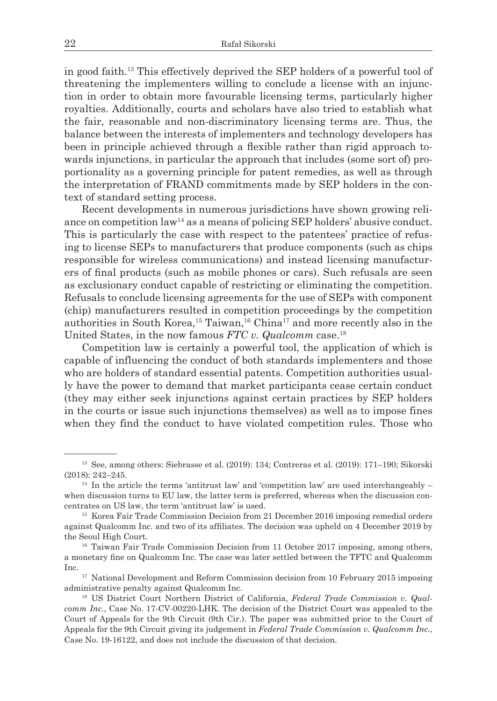in good faith.13 This effectively deprived the SEP holders of a powerful tool of threatening the implementers willing to conclude a license with an injunction in order to obtain more favourable licensing terms, particularly higher royalties. Additionally, courts and scholars have also tried to establish what the fair, reasonable and non-discriminatory licensing terms are. Thus, the balance between the interests of implementers and technology developers has been in principle achieved through a flexible rather than rigid approach towards injunctions, in particular the approach that includes (some sort of) proportionality as a governing principle for patent remedies, as well as through the interpretation of FRAND commitments made by SEP holders in the context of standard setting process.

Recent developments in numerous jurisdictions have shown growing reliance on competition  $law^{14}$  as a means of policing SEP holders' abusive conduct. This is particularly the case with respect to the patentees' practice of refusing to license SEPs to manufacturers that produce components (such as chips responsible for wireless communications) and instead licensing manufacturers of final products (such as mobile phones or cars). Such refusals are seen as exclusionary conduct capable of restricting or eliminating the competition. Refusals to conclude licensing agreements for the use of SEPs with component (chip) manufacturers resulted in competition proceedings by the competition authorities in South Korea,<sup>15</sup> Taiwan,<sup>16</sup> China<sup>17</sup> and more recently also in the United States, in the now famous *FTC v. Qualcomm* case.18

Competition law is certainly a powerful tool, the application of which is capable of influencing the conduct of both standards implementers and those who are holders of standard essential patents. Competition authorities usually have the power to demand that market participants cease certain conduct (they may either seek injunctions against certain practices by SEP holders in the courts or issue such injunctions themselves) as well as to impose fines when they find the conduct to have violated competition rules. Those who

<sup>13</sup> See, among others: Siebrasse et al. (2019): 134; Contreras et al. (2019): 171–190; Sikorski (2018): 242–245.

<sup>&</sup>lt;sup>14</sup> In the article the terms 'antitrust law' and 'competition law' are used interchangeably  $$ when discussion turns to EU law, the latter term is preferred, whereas when the discussion concentrates on US law, the term 'antitrust law' is used. 15 Korea Fair Trade Commission Decision from 21 December 2016 imposing remedial orders

against Qualcomm Inc. and two of its affiliates. The decision was upheld on 4 December 2019 by the Seoul High Court.<br><sup>16</sup> Taiwan Fair Trade Commission Decision from 11 October 2017 imposing, among others,

a monetary fine on Qualcomm Inc. The case was later settled between the TFTC and Qualcomm Inc.

<sup>&</sup>lt;sup>17</sup> National Development and Reform Commission decision from 10 February 2015 imposing administrative penalty against Qualcomm Inc.<br><sup>18</sup> US District Court Northern District of California, *Federal Trade Commission v. Qual-*

*comm Inc.*, Case No. 17-CV-00220-LHK. The decision of the District Court was appealed to the Court of Appeals for the 9th Circuit (9th Cir.). The paper was submitted prior to the Court of Appeals for the 9th Circuit giving its judgement in *Federal Trade Commission v. Qualcomm Inc.*, Case No. 19-16122, and does not include the discussion of that decision.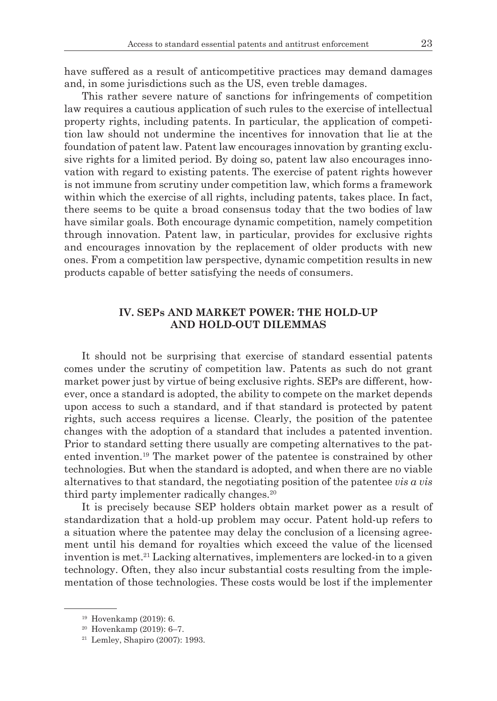have suffered as a result of anticompetitive practices may demand damages and, in some jurisdictions such as the US, even treble damages.

This rather severe nature of sanctions for infringements of competition law requires a cautious application of such rules to the exercise of intellectual property rights, including patents. In particular, the application of competition law should not undermine the incentives for innovation that lie at the foundation of patent law. Patent law encourages innovation by granting exclusive rights for a limited period. By doing so, patent law also encourages innovation with regard to existing patents. The exercise of patent rights however is not immune from scrutiny under competition law, which forms a framework within which the exercise of all rights, including patents, takes place. In fact, there seems to be quite a broad consensus today that the two bodies of law have similar goals. Both encourage dynamic competition, namely competition through innovation. Patent law, in particular, provides for exclusive rights and encourages innovation by the replacement of older products with new ones. From a competition law perspective, dynamic competition results in new products capable of better satisfying the needs of consumers.

### **IV. SEPs AND MARKET POWER: THE HOLD-UP AND HOLD-OUT DILEMMAS**

It should not be surprising that exercise of standard essential patents comes under the scrutiny of competition law. Patents as such do not grant market power just by virtue of being exclusive rights. SEPs are different, however, once a standard is adopted, the ability to compete on the market depends upon access to such a standard, and if that standard is protected by patent rights, such access requires a license. Clearly, the position of the patentee changes with the adoption of a standard that includes a patented invention. Prior to standard setting there usually are competing alternatives to the patented invention.19 The market power of the patentee is constrained by other technologies. But when the standard is adopted, and when there are no viable alternatives to that standard, the negotiating position of the patentee *vis a vis* third party implementer radically changes. $20$ 

It is precisely because SEP holders obtain market power as a result of standardization that a hold-up problem may occur. Patent hold-up refers to a situation where the patentee may delay the conclusion of a licensing agreement until his demand for royalties which exceed the value of the licensed invention is met.<sup>21</sup> Lacking alternatives, implementers are locked-in to a given technology. Often, they also incur substantial costs resulting from the implementation of those technologies. These costs would be lost if the implementer

<sup>19</sup> Hovenkamp (2019): 6.

<sup>20</sup> Hovenkamp (2019): 6–7.

 $21$  Lemley, Shapiro (2007): 1993.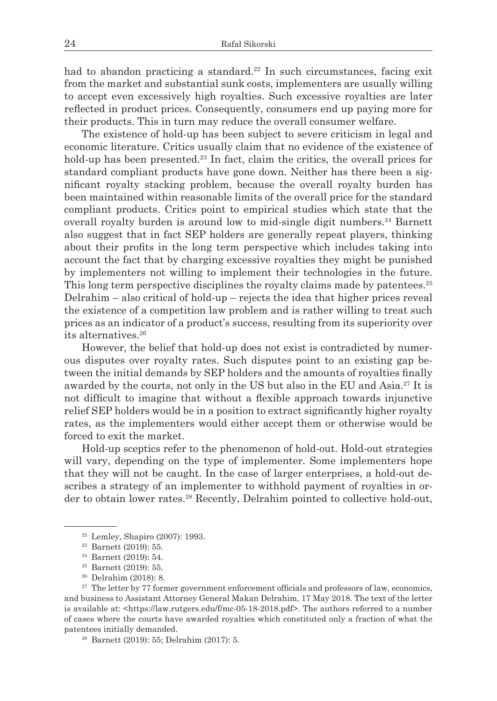had to abandon practicing a standard.<sup>22</sup> In such circumstances, facing exit from the market and substantial sunk costs, implementers are usually willing to accept even excessively high royalties. Such excessive royalties are later reflected in product prices. Consequently, consumers end up paying more for their products. This in turn may reduce the overall consumer welfare.

The existence of hold-up has been subject to severe criticism in legal and economic literature. Critics usually claim that no evidence of the existence of hold-up has been presented.<sup>23</sup> In fact, claim the critics, the overall prices for standard compliant products have gone down. Neither has there been a significant royalty stacking problem, because the overall royalty burden has been maintained within reasonable limits of the overall price for the standard compliant products. Critics point to empirical studies which state that the overall royalty burden is around low to mid-single digit numbers.<sup>24</sup> Barnett also suggest that in fact SEP holders are generally repeat players, thinking about their profits in the long term perspective which includes taking into account the fact that by charging excessive royalties they might be punished by implementers not willing to implement their technologies in the future. This long term perspective disciplines the royalty claims made by patentees.<sup>25</sup> Delrahim – also critical of hold-up – rejects the idea that higher prices reveal the existence of a competition law problem and is rather willing to treat such prices as an indicator of a product's success, resulting from its superiority over its alternatives.26

However, the belief that hold-up does not exist is contradicted by numerous disputes over royalty rates. Such disputes point to an existing gap between the initial demands by SEP holders and the amounts of royalties finally awarded by the courts, not only in the US but also in the EU and Asia.<sup>27</sup> It is not difficult to imagine that without a flexible approach towards injunctive relief SEP holders would be in a position to extract significantly higher royalty rates, as the implementers would either accept them or otherwise would be forced to exit the market.

Hold-up sceptics refer to the phenomenon of hold-out. Hold-out strategies will vary, depending on the type of implementer. Some implementers hope that they will not be caught. In the case of larger enterprises, a hold-out describes a strategy of an implementer to withhold payment of royalties in order to obtain lower rates.<sup>28</sup> Recently, Delrahim pointed to collective hold-out,

- <sup>25</sup> Barnett (2019): 55.
- <sup>26</sup> Delrahim (2018): 8.

<sup>22</sup> Lemley, Shapiro (2007): 1993.

<sup>23</sup> Barnett (2019): 55.

<sup>24</sup> Barnett (2019): 54.

<sup>&</sup>lt;sup>27</sup> The letter by 77 former government enforcement officials and professors of law, economics, and business to Assistant Attorney General Makan Delrahim, 17 May 2018. The text of the letter is available at: <https://law.rutgers.edu/f/mc-05-18-2018.pdf>. The authors referred to a number of cases where the courts have awarded royalties which constituted only a fraction of what the patentees initially demanded. 28 Barnett (2019): 55; Delrahim (2017): 5.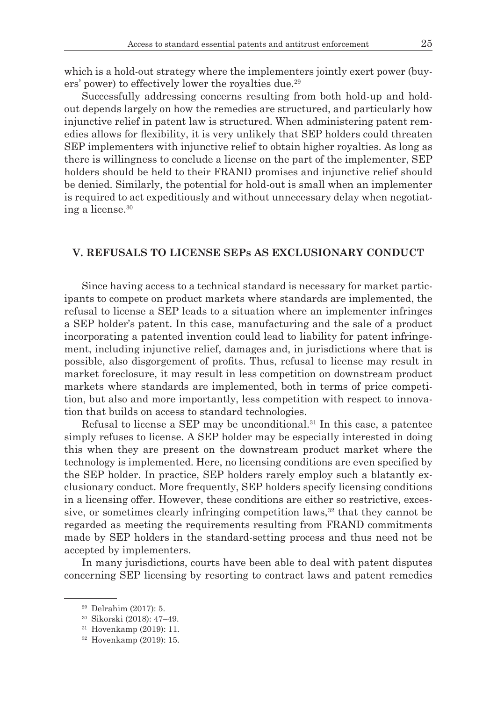which is a hold-out strategy where the implementers jointly exert power (buyers' power) to effectively lower the royalties due.29

Successfully addressing concerns resulting from both hold-up and holdout depends largely on how the remedies are structured, and particularly how injunctive relief in patent law is structured. When administering patent remedies allows for flexibility, it is very unlikely that SEP holders could threaten SEP implementers with injunctive relief to obtain higher royalties. As long as there is willingness to conclude a license on the part of the implementer, SEP holders should be held to their FRAND promises and injunctive relief should be denied. Similarly, the potential for hold-out is small when an implementer is required to act expeditiously and without unnecessary delay when negotiating a license.30

## **V. REFUSALS TO LICENSE SEPs AS EXCLUSIONARY CONDUCT**

Since having access to a technical standard is necessary for market participants to compete on product markets where standards are implemented, the refusal to license a SEP leads to a situation where an implementer infringes a SEP holder's patent. In this case, manufacturing and the sale of a product incorporating a patented invention could lead to liability for patent infringement, including injunctive relief, damages and, in jurisdictions where that is possible, also disgorgement of profits. Thus, refusal to license may result in market foreclosure, it may result in less competition on downstream product markets where standards are implemented, both in terms of price competition, but also and more importantly, less competition with respect to innovation that builds on access to standard technologies.

Refusal to license a SEP may be unconditional.<sup>31</sup> In this case, a patentee simply refuses to license. A SEP holder may be especially interested in doing this when they are present on the downstream product market where the technology is implemented. Here, no licensing conditions are even specified by the SEP holder. In practice, SEP holders rarely employ such a blatantly exclusionary conduct. More frequently, SEP holders specify licensing conditions in a licensing offer. However, these conditions are either so restrictive, excessive, or sometimes clearly infringing competition laws, $32$  that they cannot be regarded as meeting the requirements resulting from FRAND commitments made by SEP holders in the standard-setting process and thus need not be accepted by implementers.

In many jurisdictions, courts have been able to deal with patent disputes concerning SEP licensing by resorting to contract laws and patent remedies

<sup>29</sup> Delrahim (2017): 5.

 $30$  Sikorski (2018): 47–49.<br> $31$  Hovenkamp (2019): 11.

<sup>32</sup> Hovenkamp (2019): 15.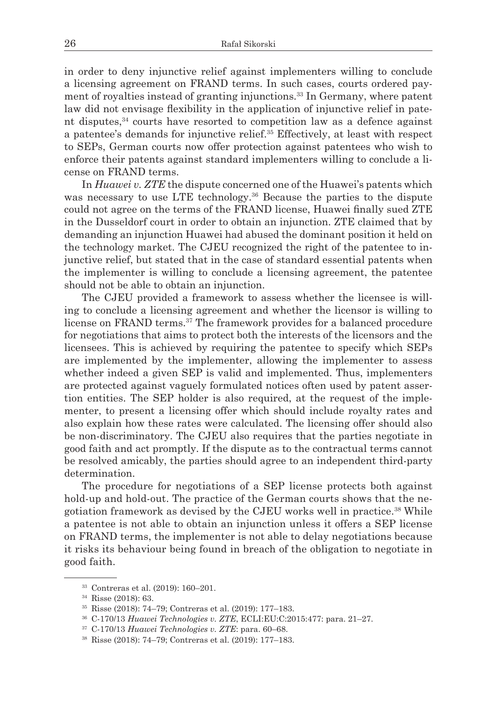in order to deny injunctive relief against implementers willing to conclude a licensing agreement on FRAND terms. In such cases, courts ordered payment of royalties instead of granting injunctions.<sup>33</sup> In Germany, where patent law did not envisage flexibility in the application of injunctive relief in patent disputes, $34$  courts have resorted to competition law as a defence against a patentee's demands for injunctive relief.35 Effectively, at least with respect to SEPs, German courts now offer protection against patentees who wish to enforce their patents against standard implementers willing to conclude a license on FRAND terms.

In *Huawei v. ZTE* the dispute concerned one of the Huawei's patents which was necessary to use LTE technology.<sup>36</sup> Because the parties to the dispute could not agree on the terms of the FRAND license, Huawei finally sued ZTE in the Dusseldorf court in order to obtain an injunction. ZTE claimed that by demanding an injunction Huawei had abused the dominant position it held on the technology market. The CJEU recognized the right of the patentee to injunctive relief, but stated that in the case of standard essential patents when the implementer is willing to conclude a licensing agreement, the patentee should not be able to obtain an injunction.

The CJEU provided a framework to assess whether the licensee is willing to conclude a licensing agreement and whether the licensor is willing to license on FRAND terms.37 The framework provides for a balanced procedure for negotiations that aims to protect both the interests of the licensors and the licensees. This is achieved by requiring the patentee to specify which SEPs are implemented by the implementer, allowing the implementer to assess whether indeed a given SEP is valid and implemented. Thus, implementers are protected against vaguely formulated notices often used by patent assertion entities. The SEP holder is also required, at the request of the implementer, to present a licensing offer which should include royalty rates and also explain how these rates were calculated. The licensing offer should also be non-discriminatory. The CJEU also requires that the parties negotiate in good faith and act promptly. If the dispute as to the contractual terms cannot be resolved amicably, the parties should agree to an independent third-party determination.

The procedure for negotiations of a SEP license protects both against hold-up and hold-out. The practice of the German courts shows that the negotiation framework as devised by the CJEU works well in practice.38 While a patentee is not able to obtain an injunction unless it offers a SEP license on FRAND terms, the implementer is not able to delay negotiations because it risks its behaviour being found in breach of the obligation to negotiate in good faith.

<sup>33</sup> Contreras et al. (2019): 160–201.

<sup>34</sup> Risse (2018): 63.

<sup>35</sup> Risse (2018): 74–79; Contreras et al. (2019): 177–183.

<sup>36</sup> C-170/13 *Huawei Technologies v. ZTE*, ECLI:EU:C:2015:477: para. 21–27. 37 C-170/13 *Huawei Technologies v. ZTE*: para. 60–68. 38 Risse (2018): 74–79; Contreras et al. (2019): 177–183.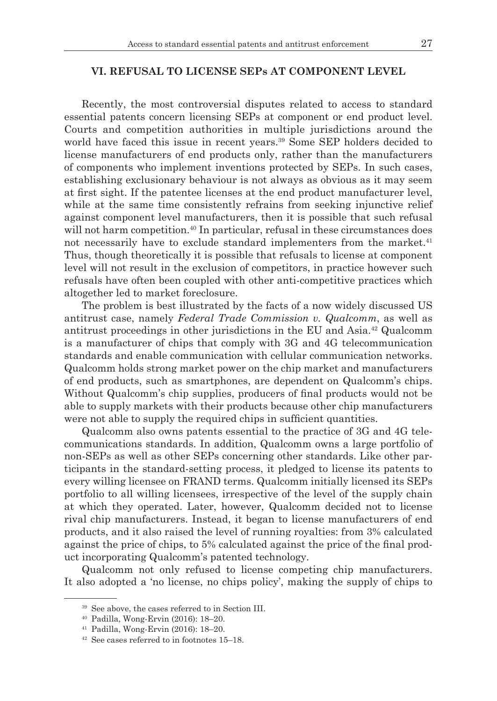#### **VI. REFUSAL TO LICENSE SEPs AT COMPONENT LEVEL**

Recently, the most controversial disputes related to access to standard essential patents concern licensing SEPs at component or end product level. Courts and competition authorities in multiple jurisdictions around the world have faced this issue in recent years.<sup>39</sup> Some SEP holders decided to license manufacturers of end products only, rather than the manufacturers of components who implement inventions protected by SEPs. In such cases, establishing exclusionary behaviour is not always as obvious as it may seem at first sight. If the patentee licenses at the end product manufacturer level, while at the same time consistently refrains from seeking injunctive relief against component level manufacturers, then it is possible that such refusal will not harm competition.<sup>40</sup> In particular, refusal in these circumstances does not necessarily have to exclude standard implementers from the market.<sup>41</sup> Thus, though theoretically it is possible that refusals to license at component level will not result in the exclusion of competitors, in practice however such refusals have often been coupled with other anti-competitive practices which altogether led to market foreclosure.

The problem is best illustrated by the facts of a now widely discussed US antitrust case, namely *Federal Trade Commission v. Qualcomm*, as well as antitrust proceedings in other jurisdictions in the EU and Asia.42 Qualcomm is a manufacturer of chips that comply with 3G and 4G telecommunication standards and enable communication with cellular communication networks. Qualcomm holds strong market power on the chip market and manufacturers of end products, such as smartphones, are dependent on Qualcomm's chips. Without Qualcomm's chip supplies, producers of final products would not be able to supply markets with their products because other chip manufacturers were not able to supply the required chips in sufficient quantities.

Qualcomm also owns patents essential to the practice of 3G and 4G telecommunications standards. In addition, Qualcomm owns a large portfolio of non-SEPs as well as other SEPs concerning other standards. Like other participants in the standard-setting process, it pledged to license its patents to every willing licensee on FRAND terms. Qualcomm initially licensed its SEPs portfolio to all willing licensees, irrespective of the level of the supply chain at which they operated. Later, however, Qualcomm decided not to license rival chip manufacturers. Instead, it began to license manufacturers of end products, and it also raised the level of running royalties: from 3% calculated against the price of chips, to 5% calculated against the price of the final product incorporating Qualcomm's patented technology.

Qualcomm not only refused to license competing chip manufacturers. It also adopted a 'no license, no chips policy', making the supply of chips to

<sup>39</sup> See above, the cases referred to in Section III. 40 Padilla, Wong-Ervin (2016): 18–20.

<sup>41</sup> Padilla, Wong-Ervin (2016): 18–20.

<sup>42</sup> See cases referred to in footnotes 15–18.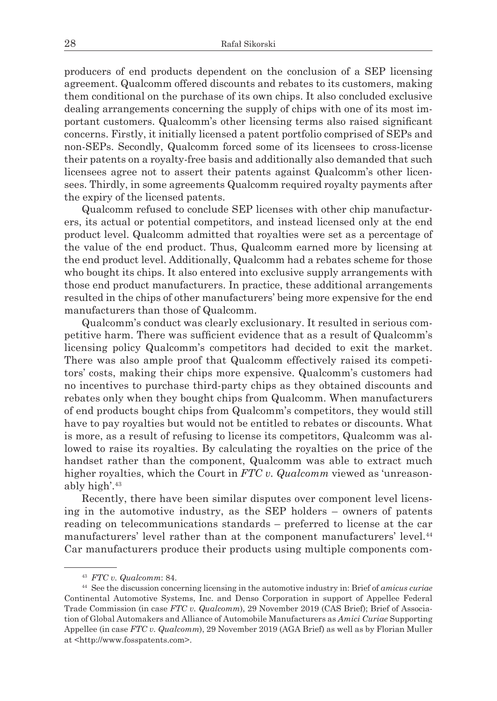producers of end products dependent on the conclusion of a SEP licensing agreement. Qualcomm offered discounts and rebates to its customers, making them conditional on the purchase of its own chips. It also concluded exclusive dealing arrangements concerning the supply of chips with one of its most important customers. Qualcomm's other licensing terms also raised significant concerns. Firstly, it initially licensed a patent portfolio comprised of SEPs and non-SEPs. Secondly, Qualcomm forced some of its licensees to cross-license their patents on a royalty-free basis and additionally also demanded that such licensees agree not to assert their patents against Qualcomm's other licensees. Thirdly, in some agreements Qualcomm required royalty payments after the expiry of the licensed patents.

Qualcomm refused to conclude SEP licenses with other chip manufacturers, its actual or potential competitors, and instead licensed only at the end product level. Qualcomm admitted that royalties were set as a percentage of the value of the end product. Thus, Qualcomm earned more by licensing at the end product level. Additionally, Qualcomm had a rebates scheme for those who bought its chips. It also entered into exclusive supply arrangements with those end product manufacturers. In practice, these additional arrangements resulted in the chips of other manufacturers' being more expensive for the end manufacturers than those of Qualcomm.

Qualcomm's conduct was clearly exclusionary. It resulted in serious competitive harm. There was sufficient evidence that as a result of Qualcomm's licensing policy Qualcomm's competitors had decided to exit the market. There was also ample proof that Qualcomm effectively raised its competitors' costs, making their chips more expensive. Qualcomm's customers had no incentives to purchase third-party chips as they obtained discounts and rebates only when they bought chips from Qualcomm. When manufacturers of end products bought chips from Qualcomm's competitors, they would still have to pay royalties but would not be entitled to rebates or discounts. What is more, as a result of refusing to license its competitors, Qualcomm was allowed to raise its royalties. By calculating the royalties on the price of the handset rather than the component, Qualcomm was able to extract much higher royalties, which the Court in *FTC v. Qualcomm* viewed as 'unreasonably high'.43

Recently, there have been similar disputes over component level licensing in the automotive industry, as the SEP holders – owners of patents reading on telecommunications standards – preferred to license at the car manufacturers' level rather than at the component manufacturers' level.44 Car manufacturers produce their products using multiple components com-

<sup>43</sup> *FTC v. Qualcomm*: 84. 44 See the discussion concerning licensing in the automotive industry in: Brief of *amicus curiae* Continental Automotive Systems, Inc. and Denso Corporation in support of Appellee Federal Trade Commission (in case *FTC v. Qualcomm*), 29 November 2019 (CAS Brief); Brief of Association of Global Automakers and Alliance of Automobile Manufacturers as *Amici Curiae* Supporting Appellee (in case *FTC v. Qualcomm*), 29 November 2019 (AGA Brief) as well as by Florian Muller at <http://www.fosspatents.com>.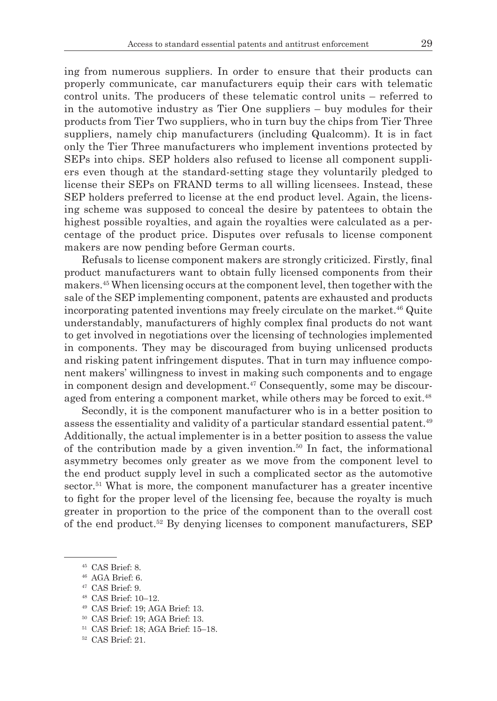ing from numerous suppliers. In order to ensure that their products can properly communicate, car manufacturers equip their cars with telematic control units. The producers of these telematic control units – referred to in the automotive industry as Tier One suppliers – buy modules for their products from Tier Two suppliers, who in turn buy the chips from Tier Three suppliers, namely chip manufacturers (including Qualcomm). It is in fact only the Tier Three manufacturers who implement inventions protected by SEPs into chips. SEP holders also refused to license all component suppliers even though at the standard-setting stage they voluntarily pledged to license their SEPs on FRAND terms to all willing licensees. Instead, these SEP holders preferred to license at the end product level. Again, the licensing scheme was supposed to conceal the desire by patentees to obtain the highest possible royalties, and again the royalties were calculated as a percentage of the product price. Disputes over refusals to license component makers are now pending before German courts.

Refusals to license component makers are strongly criticized. Firstly, final product manufacturers want to obtain fully licensed components from their makers.45 When licensing occurs at the component level, then together with the sale of the SEP implementing component, patents are exhausted and products incorporating patented inventions may freely circulate on the market.<sup>46</sup> Quite understandably, manufacturers of highly complex final products do not want to get involved in negotiations over the licensing of technologies implemented in components. They may be discouraged from buying unlicensed products and risking patent infringement disputes. That in turn may influence component makers' willingness to invest in making such components and to engage in component design and development. $47$  Consequently, some may be discouraged from entering a component market, while others may be forced to exit.<sup>48</sup>

Secondly, it is the component manufacturer who is in a better position to assess the essentiality and validity of a particular standard essential patent.49 Additionally, the actual implementer is in a better position to assess the value of the contribution made by a given invention.<sup>50</sup> In fact, the informational asymmetry becomes only greater as we move from the component level to the end product supply level in such a complicated sector as the automotive sector.<sup>51</sup> What is more, the component manufacturer has a greater incentive to fight for the proper level of the licensing fee, because the royalty is much greater in proportion to the price of the component than to the overall cost of the end product.<sup>52</sup> By denying licenses to component manufacturers, SEP

- <sup>48</sup> CAS Brief: 10–12.
- <sup>49</sup> CAS Brief: 19; AGA Brief: 13.
- <sup>50</sup> CAS Brief: 19; AGA Brief: 13.
- <sup>51</sup> CAS Brief: 18; AGA Brief: 15–18.
- <sup>52</sup> CAS Brief: 21.

 $45$  CAS Brief: 8.<br> $46$  AGA Brief: 6.

<sup>47</sup> CAS Brief: 9.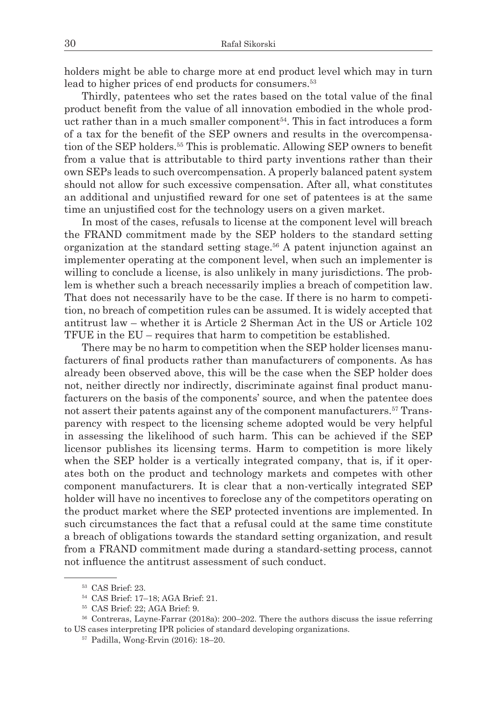holders might be able to charge more at end product level which may in turn lead to higher prices of end products for consumers.<sup>53</sup>

Thirdly, patentees who set the rates based on the total value of the final product benefit from the value of all innovation embodied in the whole product rather than in a much smaller component<sup>54</sup>. This in fact introduces a form of a tax for the benefit of the SEP owners and results in the overcompensation of the SEP holders.<sup>55</sup> This is problematic. Allowing SEP owners to benefit from a value that is attributable to third party inventions rather than their own SEPs leads to such overcompensation. A properly balanced patent system should not allow for such excessive compensation. After all, what constitutes an additional and unjustified reward for one set of patentees is at the same time an unjustified cost for the technology users on a given market.

In most of the cases, refusals to license at the component level will breach the FRAND commitment made by the SEP holders to the standard setting organization at the standard setting stage.<sup>56</sup> A patent injunction against an implementer operating at the component level, when such an implementer is willing to conclude a license, is also unlikely in many jurisdictions. The problem is whether such a breach necessarily implies a breach of competition law. That does not necessarily have to be the case. If there is no harm to competition, no breach of competition rules can be assumed. It is widely accepted that antitrust law – whether it is Article 2 Sherman Act in the US or Article 102 TFUE in the EU – requires that harm to competition be established.

There may be no harm to competition when the SEP holder licenses manufacturers of final products rather than manufacturers of components. As has already been observed above, this will be the case when the SEP holder does not, neither directly nor indirectly, discriminate against final product manufacturers on the basis of the components' source, and when the patentee does not assert their patents against any of the component manufacturers.<sup>57</sup> Transparency with respect to the licensing scheme adopted would be very helpful in assessing the likelihood of such harm. This can be achieved if the SEP licensor publishes its licensing terms. Harm to competition is more likely when the SEP holder is a vertically integrated company, that is, if it operates both on the product and technology markets and competes with other component manufacturers. It is clear that a non-vertically integrated SEP holder will have no incentives to foreclose any of the competitors operating on the product market where the SEP protected inventions are implemented. In such circumstances the fact that a refusal could at the same time constitute a breach of obligations towards the standard setting organization, and result from a FRAND commitment made during a standard-setting process, cannot not influence the antitrust assessment of such conduct.

<sup>53</sup> CAS Brief: 23.

<sup>54</sup> CAS Brief: 17–18; AGA Brief: 21.

<sup>55</sup> CAS Brief: 22; AGA Brief: 9.

<sup>56</sup> Contreras, Layne-Farrar (2018a): 200–202. There the authors discuss the issue referring to US cases interpreting IPR policies of standard developing organizations. 57 Padilla, Wong-Ervin (2016): 18–20.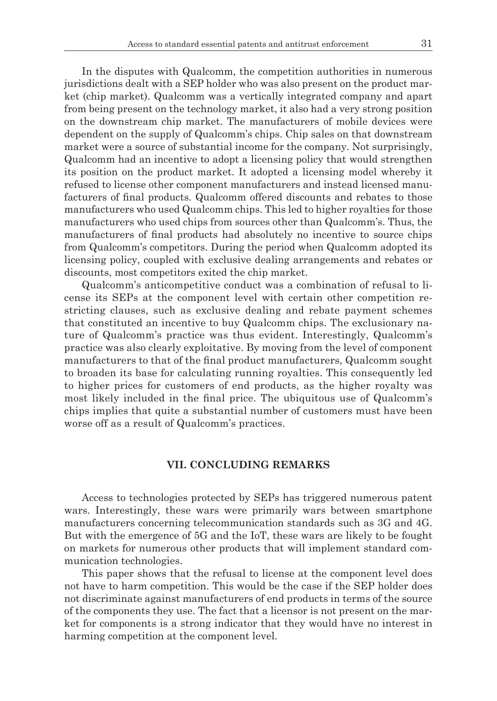In the disputes with Qualcomm, the competition authorities in numerous jurisdictions dealt with a SEP holder who was also present on the product market (chip market). Qualcomm was a vertically integrated company and apart from being present on the technology market, it also had a very strong position on the downstream chip market. The manufacturers of mobile devices were dependent on the supply of Qualcomm's chips. Chip sales on that downstream market were a source of substantial income for the company. Not surprisingly, Qualcomm had an incentive to adopt a licensing policy that would strengthen its position on the product market. It adopted a licensing model whereby it refused to license other component manufacturers and instead licensed manufacturers of final products. Qualcomm offered discounts and rebates to those manufacturers who used Qualcomm chips. This led to higher royalties for those manufacturers who used chips from sources other than Qualcomm's. Thus, the manufacturers of final products had absolutely no incentive to source chips from Qualcomm's competitors. During the period when Qualcomm adopted its licensing policy, coupled with exclusive dealing arrangements and rebates or discounts, most competitors exited the chip market.

Qualcomm's anticompetitive conduct was a combination of refusal to license its SEPs at the component level with certain other competition restricting clauses, such as exclusive dealing and rebate payment schemes that constituted an incentive to buy Qualcomm chips. The exclusionary nature of Qualcomm's practice was thus evident. Interestingly, Qualcomm's practice was also clearly exploitative. By moving from the level of component manufacturers to that of the final product manufacturers, Qualcomm sought to broaden its base for calculating running royalties. This consequently led to higher prices for customers of end products, as the higher royalty was most likely included in the final price. The ubiquitous use of Qualcomm's chips implies that quite a substantial number of customers must have been worse off as a result of Qualcomm's practices.

#### **VII. CONCLUDING REMARKS**

Access to technologies protected by SEPs has triggered numerous patent wars. Interestingly, these wars were primarily wars between smartphone manufacturers concerning telecommunication standards such as 3G and 4G. But with the emergence of 5G and the IoT, these wars are likely to be fought on markets for numerous other products that will implement standard communication technologies.

This paper shows that the refusal to license at the component level does not have to harm competition. This would be the case if the SEP holder does not discriminate against manufacturers of end products in terms of the source of the components they use. The fact that a licensor is not present on the market for components is a strong indicator that they would have no interest in harming competition at the component level.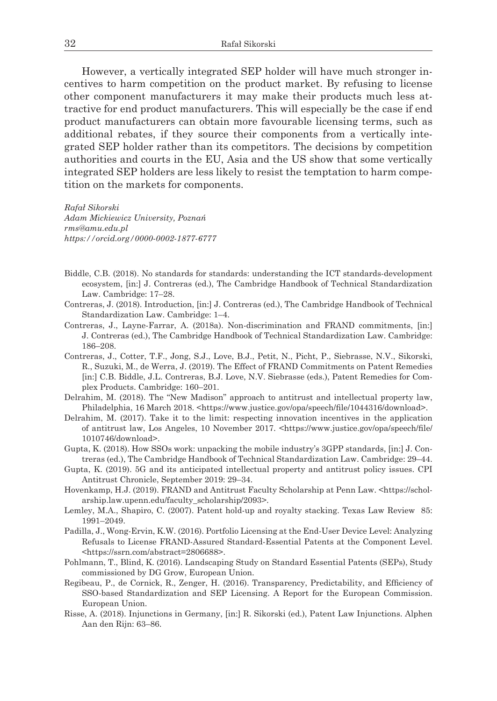However, a vertically integrated SEP holder will have much stronger incentives to harm competition on the product market. By refusing to license other component manufacturers it may make their products much less attractive for end product manufacturers. This will especially be the case if end product manufacturers can obtain more favourable licensing terms, such as additional rebates, if they source their components from a vertically integrated SEP holder rather than its competitors. The decisions by competition authorities and courts in the EU, Asia and the US show that some vertically integrated SEP holders are less likely to resist the temptation to harm competition on the markets for components.

*Rafał Sikorski Adam Mickiewicz University, Poznań rms@amu.edu.pl https://orcid.org/0000-0002-1877-6777*

- Biddle, C.B. (2018). No standards for standards: understanding the ICT standards-development ecosystem, [in:] J. Contreras (ed.), The Cambridge Handbook of Technical Standardization Law. Cambridge: 17–28.
- Contreras, J. (2018). Introduction, [in:] J. Contreras (ed.), The Cambridge Handbook of Technical Standardization Law. Cambridge: 1–4.
- Contreras, J., Layne-Farrar, A. (2018a). Non-discrimination and FRAND commitments, [in:] J. Contreras (ed.), The Cambridge Handbook of Technical Standardization Law. Cambridge: 186–208.
- Contreras, J., Cotter, T.F., Jong, S.J., Love, B.J., Petit, N., Picht, P., Siebrasse, N.V., Sikorski, R., Suzuki, M., de Werra, J. (2019). The Effect of FRAND Commitments on Patent Remedies [in:] C.B. Biddle, J.L. Contreras, B.J. Love, N.V. Siebrasse (eds.), Patent Remedies for Complex Products. Cambridge: 160–201.
- Delrahim, M. (2018). The "New Madison" approach to antitrust and intellectual property law, Philadelphia, 16 March 2018. <https://www.justice.gov/opa/speech/file/1044316/download>.
- Delrahim, M. (2017). Take it to the limit: respecting innovation incentives in the application of antitrust law, Los Angeles, 10 November 2017. <https://www.justice.gov/opa/speech/file/ 1010746/download>.
- Gupta, K. (2018). How SSOs work: unpacking the mobile industry's 3GPP standards, [in:] J. Contreras (ed.), The Cambridge Handbook of Technical Standardization Law. Cambridge: 29–44.
- Gupta, K. (2019). 5G and its anticipated intellectual property and antitrust policy issues. CPI Antitrust Chronicle, September 2019: 29–34.
- Hovenkamp, H.J. (2019). FRAND and Antitrust Faculty Scholarship at Penn Law. <https://scholarship.law.upenn.edu/faculty\_scholarship/2093>.
- Lemley, M.A., Shapiro, C. (2007). Patent hold-up and royalty stacking. Texas Law Review 85: 1991–2049.
- Padilla, J., Wong-Ervin, K.W. (2016). Portfolio Licensing at the End-User Device Level: Analyzing Refusals to License FRAND-Assured Standard-Essential Patents at the Component Level. <https://ssrn.com/abstract=2806688>.
- Pohlmann, T., Blind, K. (2016). Landscaping Study on Standard Essential Patents (SEPs), Study commissioned by DG Grow, European Union.
- Regibeau, P., de Cornick, R., Zenger, H. (2016). Transparency, Predictability, and Efficiency of SSO-based Standardization and SEP Licensing. A Report for the European Commission. European Union.
- Risse, A. (2018). Injunctions in Germany, [in:] R. Sikorski (ed.), Patent Law Injunctions. Alphen Aan den Rijn: 63–86.